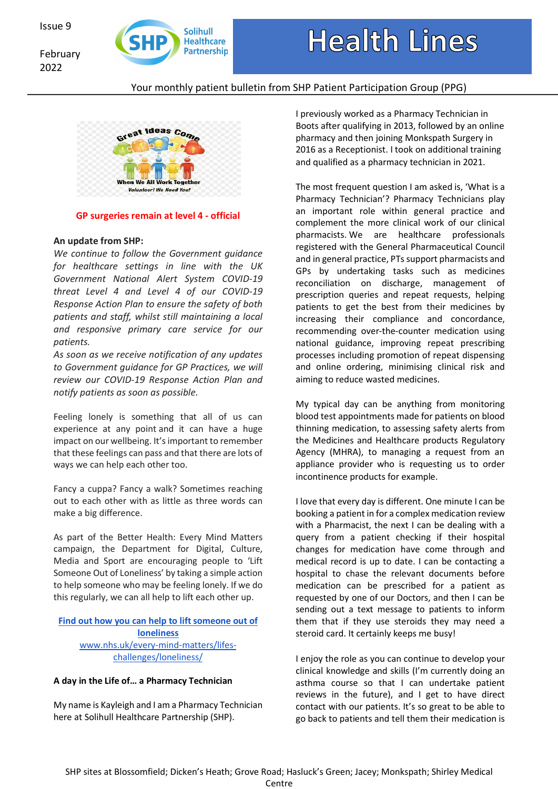February 2022



# **Health Lines**

# Your monthly patient bulletin from SHP Patient Participation Group (PPG)



#### **GP surgeries remain at level 4 - official**

#### **An update from SHP:**

*We continue to follow the Government guidance for healthcare settings in line with the UK Government National Alert System COVID-19 threat Level 4 and Level 4 of our COVID-19 Response Action Plan to ensure the safety of both patients and staff, whilst still maintaining a local and responsive primary care service for our patients.*

*As soon as we receive notification of any updates to Government guidance for GP Practices, we will review our COVID-19 Response Action Plan and notify patients as soon as possible.*

Feeling lonely is something that all of us can experience at any point and it can have a huge impact on our wellbeing. It'simportant to remember that these feelings can pass and that there are lots of ways we can help each other too.

Fancy a cuppa? Fancy a walk? Sometimes reaching out to each other with as little as three words can make a big difference.

As part of the Better Health: Every Mind Matters campaign, the Department for Digital, Culture, Media and Sport are encouraging people to 'Lift Someone Out of Loneliness' by taking a simple action to help someone who may be feeling lonely. If we do this regularly, we can all help to lift each other up.

## **Find out how you can help to liftsomeone out of loneliness** www.nhs.uk/every-mind-matters/lifes-

challenges/loneliness/

#### **A day in the Life of… a Pharmacy Technician**

My name is Kayleigh and I am a Pharmacy Technician here at Solihull Healthcare Partnership (SHP).

I previously worked as a Pharmacy Technician in Boots after qualifying in 2013, followed by an online pharmacy and then joining Monkspath Surgery in 2016 as a Receptionist. I took on additional training and qualified as a pharmacy technician in 2021.

The most frequent question I am asked is, 'What is a Pharmacy Technician'? Pharmacy Technicians play an important role within general practice and complement the more clinical work of our clinical pharmacists. We are healthcare professionals registered with the General Pharmaceutical Council and in general practice, PTs support pharmacists and GPs by undertaking tasks such as medicines reconciliation on discharge, management of prescription queries and repeat requests, helping patients to get the best from their medicines by increasing their compliance and concordance, recommending over-the-counter medication using national guidance, improving repeat prescribing processes including promotion of repeat dispensing and online ordering, minimising clinical risk and aiming to reduce wasted medicines.

My typical day can be anything from monitoring blood test appointments made for patients on blood thinning medication, to assessing safety alerts from the Medicines and Healthcare products Regulatory Agency (MHRA), to managing a request from an appliance provider who is requesting us to order incontinence products for example.

I love that every day is different. One minute I can be booking a patient in for a complex medication review with a Pharmacist, the next I can be dealing with a query from a patient checking if their hospital changes for medication have come through and medical record is up to date. I can be contacting a hospital to chase the relevant documents before medication can be prescribed for a patient as requested by one of our Doctors, and then I can be sending out a text message to patients to inform them that if they use steroids they may need a steroid card. It certainly keeps me busy!

I enjoy the role as you can continue to develop your clinical knowledge and skills (I'm currently doing an asthma course so that I can undertake patient reviews in the future), and I get to have direct contact with our patients. It's so great to be able to go back to patients and tell them their medication is